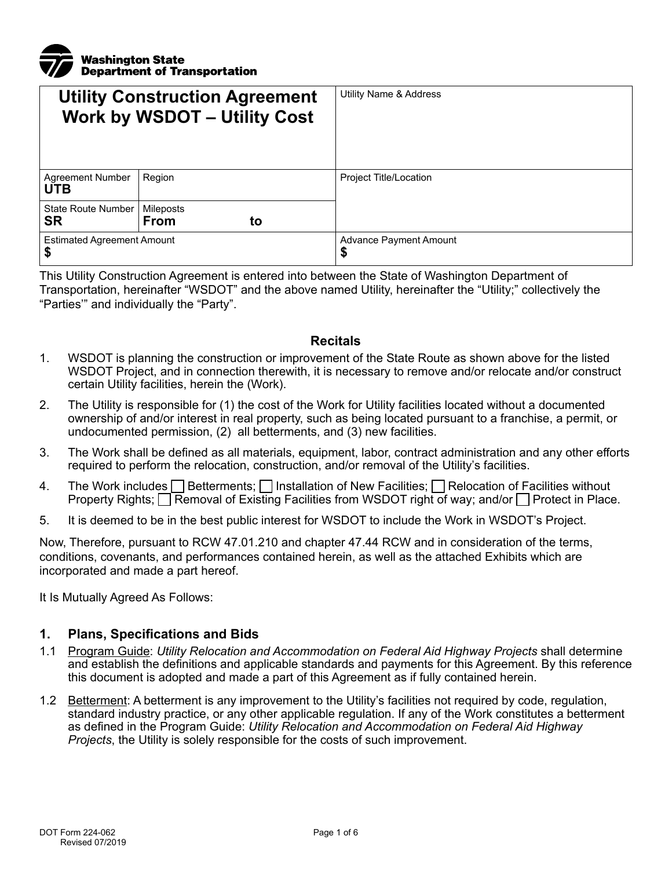

| <b>Utility Construction Agreement</b><br><b>Work by WSDOT - Utility Cost</b> |                                | Utility Name & Address       |
|------------------------------------------------------------------------------|--------------------------------|------------------------------|
| <b>Agreement Number</b><br><b>UTB</b>                                        | Region                         | Project Title/Location       |
| State Route Number<br><b>SR</b>                                              | Mileposts<br><b>From</b><br>to |                              |
| <b>Estimated Agreement Amount</b><br>\$                                      |                                | Advance Payment Amount<br>\$ |

This Utility Construction Agreement is entered into between the State of Washington Department of Transportation, hereinafter "WSDOT" and the above named Utility, hereinafter the "Utility;" collectively the "Parties'" and individually the "Party".

#### **Recitals**

- 1. WSDOT is planning the construction or improvement of the State Route as shown above for the listed WSDOT Project, and in connection therewith, it is necessary to remove and/or relocate and/or construct certain Utility facilities, herein the (Work).
- 2. The Utility is responsible for (1) the cost of the Work for Utility facilities located without a documented ownership of and/or interest in real property, such as being located pursuant to a franchise, a permit, or undocumented permission, (2) all betterments, and (3) new facilities.
- 3. The Work shall be defined as all materials, equipment, labor, contract administration and any other efforts required to perform the relocation, construction, and/or removal of the Utility's facilities.
- 4. The Work includes  $\Box$  Betterments;  $\Box$  Installation of New Facilities;  $\Box$  Relocation of Facilities without Property Rights; Removal of Existing Facilities from WSDOT right of way; and/or Protect in Place.
- 5. It is deemed to be in the best public interest for WSDOT to include the Work in WSDOT's Project.

Now, Therefore, pursuant to RCW 47.01.210 and chapter 47.44 RCW and in consideration of the terms, conditions, covenants, and performances contained herein, as well as the attached Exhibits which are incorporated and made a part hereof.

It Is Mutually Agreed As Follows:

#### **1. Plans, Specifications and Bids**

- 1.1 Program Guide: *Utility Relocation and Accommodation on Federal Aid Highway Projects* shall determine and establish the definitions and applicable standards and payments for this Agreement. By this reference this document is adopted and made a part of this Agreement as if fully contained herein.
- 1.2 Betterment: A betterment is any improvement to the Utility's facilities not required by code, regulation, standard industry practice, or any other applicable regulation. If any of the Work constitutes a betterment as defined in the Program Guide: *Utility Relocation and Accommodation on Federal Aid Highway Projects*, the Utility is solely responsible for the costs of such improvement.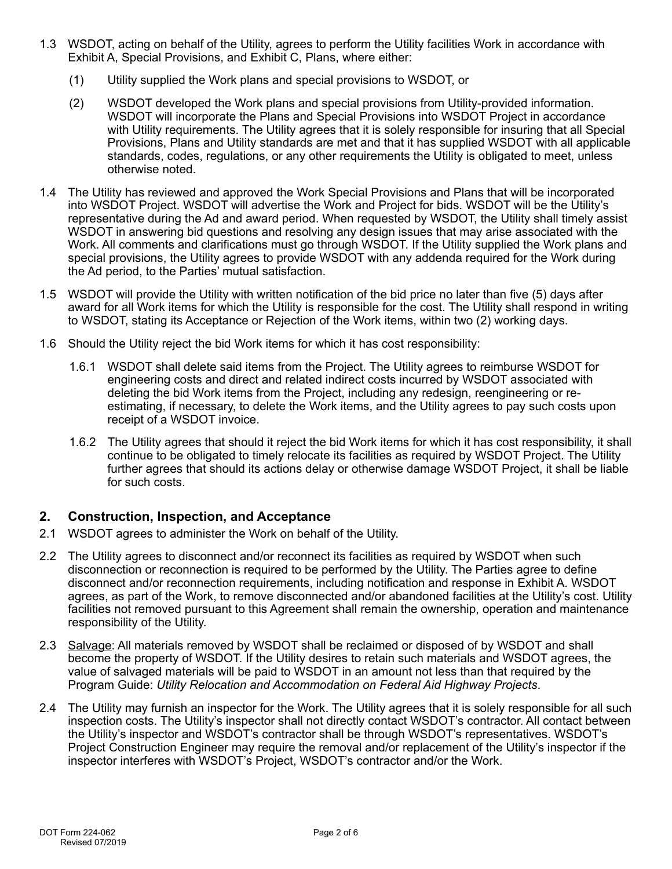- 1.3 WSDOT, acting on behalf of the Utility, agrees to perform the Utility facilities Work in accordance with Exhibit A, Special Provisions, and Exhibit C, Plans, where either:
	- (1) Utility supplied the Work plans and special provisions to WSDOT, or
	- (2) WSDOT developed the Work plans and special provisions from Utility-provided information. WSDOT will incorporate the Plans and Special Provisions into WSDOT Project in accordance with Utility requirements. The Utility agrees that it is solely responsible for insuring that all Special Provisions, Plans and Utility standards are met and that it has supplied WSDOT with all applicable standards, codes, regulations, or any other requirements the Utility is obligated to meet, unless otherwise noted.
- 1.4 The Utility has reviewed and approved the Work Special Provisions and Plans that will be incorporated into WSDOT Project. WSDOT will advertise the Work and Project for bids. WSDOT will be the Utility's representative during the Ad and award period. When requested by WSDOT, the Utility shall timely assist WSDOT in answering bid questions and resolving any design issues that may arise associated with the Work. All comments and clarifications must go through WSDOT. If the Utility supplied the Work plans and special provisions, the Utility agrees to provide WSDOT with any addenda required for the Work during the Ad period, to the Parties' mutual satisfaction.
- 1.5 WSDOT will provide the Utility with written notification of the bid price no later than five (5) days after award for all Work items for which the Utility is responsible for the cost. The Utility shall respond in writing to WSDOT, stating its Acceptance or Rejection of the Work items, within two (2) working days.
- 1.6 Should the Utility reject the bid Work items for which it has cost responsibility:
	- 1.6.1 WSDOT shall delete said items from the Project. The Utility agrees to reimburse WSDOT for engineering costs and direct and related indirect costs incurred by WSDOT associated with deleting the bid Work items from the Project, including any redesign, reengineering or reestimating, if necessary, to delete the Work items, and the Utility agrees to pay such costs upon receipt of a WSDOT invoice.
	- 1.6.2 The Utility agrees that should it reject the bid Work items for which it has cost responsibility, it shall continue to be obligated to timely relocate its facilities as required by WSDOT Project. The Utility further agrees that should its actions delay or otherwise damage WSDOT Project, it shall be liable for such costs.

### **2. Construction, Inspection, and Acceptance**

- 2.1 WSDOT agrees to administer the Work on behalf of the Utility.
- 2.2 The Utility agrees to disconnect and/or reconnect its facilities as required by WSDOT when such disconnection or reconnection is required to be performed by the Utility. The Parties agree to define disconnect and/or reconnection requirements, including notification and response in Exhibit A. WSDOT agrees, as part of the Work, to remove disconnected and/or abandoned facilities at the Utility's cost. Utility facilities not removed pursuant to this Agreement shall remain the ownership, operation and maintenance responsibility of the Utility.
- 2.3 Salvage: All materials removed by WSDOT shall be reclaimed or disposed of by WSDOT and shall become the property of WSDOT. If the Utility desires to retain such materials and WSDOT agrees, the value of salvaged materials will be paid to WSDOT in an amount not less than that required by the Program Guide: *Utility Relocation and Accommodation on Federal Aid Highway Projects*.
- 2.4 The Utility may furnish an inspector for the Work. The Utility agrees that it is solely responsible for all such inspection costs. The Utility's inspector shall not directly contact WSDOT's contractor. All contact between the Utility's inspector and WSDOT's contractor shall be through WSDOT's representatives. WSDOT's Project Construction Engineer may require the removal and/or replacement of the Utility's inspector if the inspector interferes with WSDOT's Project, WSDOT's contractor and/or the Work.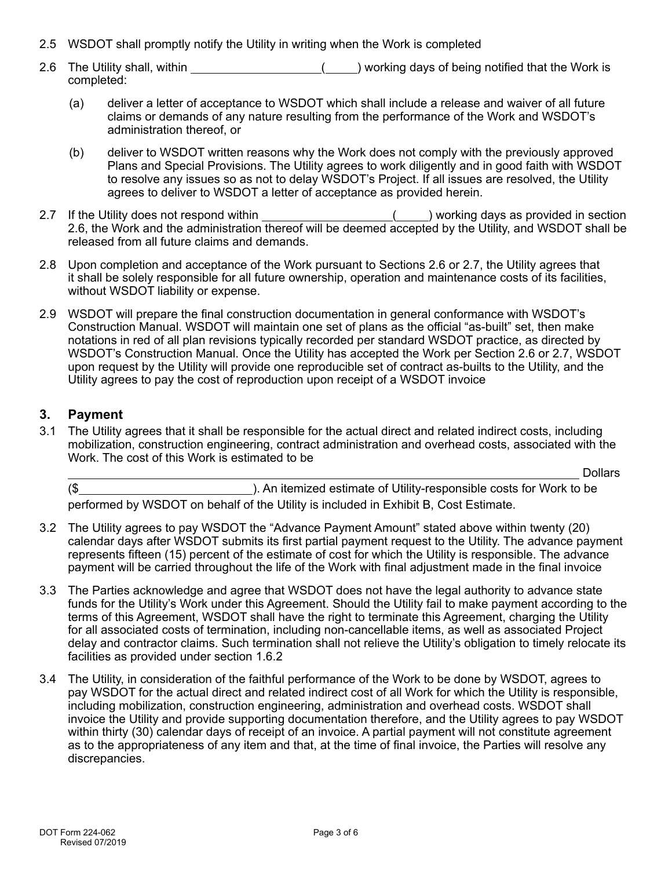- 2.5 WSDOT shall promptly notify the Utility in writing when the Work is completed
- 2.6 The Utility shall, within **the intervalle and intervalle intervalley** working days of being notified that the Work is completed:
	- (a) deliver a letter of acceptance to WSDOT which shall include a release and waiver of all future claims or demands of any nature resulting from the performance of the Work and WSDOT's administration thereof, or
	- (b) deliver to WSDOT written reasons why the Work does not comply with the previously approved Plans and Special Provisions. The Utility agrees to work diligently and in good faith with WSDOT to resolve any issues so as not to delay WSDOT's Project. If all issues are resolved, the Utility agrees to deliver to WSDOT a letter of acceptance as provided herein.
- 2.7 If the Utility does not respond within \_\_\_\_\_\_\_\_\_\_\_\_\_\_\_\_\_\_\_\_\_\_\_\_(\_\_\_\_) working days as provided in section 2.6, the Work and the administration thereof will be deemed accepted by the Utility, and WSDOT shall be released from all future claims and demands.
- 2.8 Upon completion and acceptance of the Work pursuant to Sections 2.6 or 2.7, the Utility agrees that it shall be solely responsible for all future ownership, operation and maintenance costs of its facilities, without WSDOT liability or expense.
- 2.9 WSDOT will prepare the final construction documentation in general conformance with WSDOT's Construction Manual. WSDOT will maintain one set of plans as the official "as-built" set, then make notations in red of all plan revisions typically recorded per standard WSDOT practice, as directed by WSDOT's Construction Manual. Once the Utility has accepted the Work per Section 2.6 or 2.7, WSDOT upon request by the Utility will provide one reproducible set of contract as-builts to the Utility, and the Utility agrees to pay the cost of reproduction upon receipt of a WSDOT invoice

### **3. Payment**

3.1 The Utility agrees that it shall be responsible for the actual direct and related indirect costs, including mobilization, construction engineering, contract administration and overhead costs, associated with the Work. The cost of this Work is estimated to be

**Dollars** 

(\$ ). An itemized estimate of Utility-responsible costs for Work to be performed by WSDOT on behalf of the Utility is included in Exhibit B, Cost Estimate.

- 3.2 The Utility agrees to pay WSDOT the "Advance Payment Amount" stated above within twenty (20) calendar days after WSDOT submits its first partial payment request to the Utility. The advance payment represents fifteen (15) percent of the estimate of cost for which the Utility is responsible. The advance payment will be carried throughout the life of the Work with final adjustment made in the final invoice
- 3.3 The Parties acknowledge and agree that WSDOT does not have the legal authority to advance state funds for the Utility's Work under this Agreement. Should the Utility fail to make payment according to the terms of this Agreement, WSDOT shall have the right to terminate this Agreement, charging the Utility for all associated costs of termination, including non-cancellable items, as well as associated Project delay and contractor claims. Such termination shall not relieve the Utility's obligation to timely relocate its facilities as provided under section 1.6.2
- 3.4 The Utility, in consideration of the faithful performance of the Work to be done by WSDOT, agrees to pay WSDOT for the actual direct and related indirect cost of all Work for which the Utility is responsible, including mobilization, construction engineering, administration and overhead costs. WSDOT shall invoice the Utility and provide supporting documentation therefore, and the Utility agrees to pay WSDOT within thirty (30) calendar days of receipt of an invoice. A partial payment will not constitute agreement as to the appropriateness of any item and that, at the time of final invoice, the Parties will resolve any discrepancies.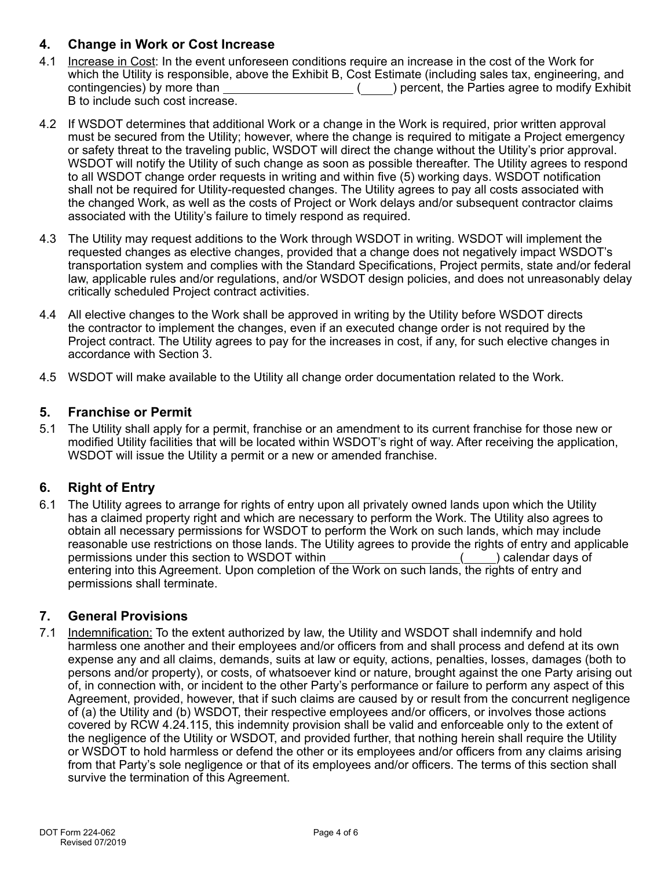## **4. Change in Work or Cost Increase**

- 4.1 Increase in Cost: In the event unforeseen conditions require an increase in the cost of the Work for which the Utility is responsible, above the Exhibit B, Cost Estimate (including sales tax, engineering, and contingencies) by more than ( ) percent, the Parties agree to modify Exhibit B to include such cost increase.
- 4.2 If WSDOT determines that additional Work or a change in the Work is required, prior written approval must be secured from the Utility; however, where the change is required to mitigate a Project emergency or safety threat to the traveling public, WSDOT will direct the change without the Utility's prior approval. WSDOT will notify the Utility of such change as soon as possible thereafter. The Utility agrees to respond to all WSDOT change order requests in writing and within five (5) working days. WSDOT notification shall not be required for Utility-requested changes. The Utility agrees to pay all costs associated with the changed Work, as well as the costs of Project or Work delays and/or subsequent contractor claims associated with the Utility's failure to timely respond as required.
- 4.3 The Utility may request additions to the Work through WSDOT in writing. WSDOT will implement the requested changes as elective changes, provided that a change does not negatively impact WSDOT's transportation system and complies with the Standard Specifications, Project permits, state and/or federal law, applicable rules and/or regulations, and/or WSDOT design policies, and does not unreasonably delay critically scheduled Project contract activities.
- 4.4 All elective changes to the Work shall be approved in writing by the Utility before WSDOT directs the contractor to implement the changes, even if an executed change order is not required by the Project contract. The Utility agrees to pay for the increases in cost, if any, for such elective changes in accordance with Section 3.
- 4.5 WSDOT will make available to the Utility all change order documentation related to the Work.

### **5. Franchise or Permit**

5.1 The Utility shall apply for a permit, franchise or an amendment to its current franchise for those new or modified Utility facilities that will be located within WSDOT's right of way. After receiving the application, WSDOT will issue the Utility a permit or a new or amended franchise.

# **6. Right of Entry**

6.1 The Utility agrees to arrange for rights of entry upon all privately owned lands upon which the Utility has a claimed property right and which are necessary to perform the Work. The Utility also agrees to obtain all necessary permissions for WSDOT to perform the Work on such lands, which may include reasonable use restrictions on those lands. The Utility agrees to provide the rights of entry and applicable permissions under this section to WSDOT within ( ) calendar days of entering into this Agreement. Upon completion of the Work on such lands, the rights of entry and permissions shall terminate.

### **7. General Provisions**

7.1 Indemnification: To the extent authorized by law, the Utility and WSDOT shall indemnify and hold harmless one another and their employees and/or officers from and shall process and defend at its own expense any and all claims, demands, suits at law or equity, actions, penalties, losses, damages (both to persons and/or property), or costs, of whatsoever kind or nature, brought against the one Party arising out of, in connection with, or incident to the other Party's performance or failure to perform any aspect of this Agreement, provided, however, that if such claims are caused by or result from the concurrent negligence of (a) the Utility and (b) WSDOT, their respective employees and/or officers, or involves those actions covered by RCW 4.24.115, this indemnity provision shall be valid and enforceable only to the extent of the negligence of the Utility or WSDOT, and provided further, that nothing herein shall require the Utility or WSDOT to hold harmless or defend the other or its employees and/or officers from any claims arising from that Party's sole negligence or that of its employees and/or officers. The terms of this section shall survive the termination of this Agreement.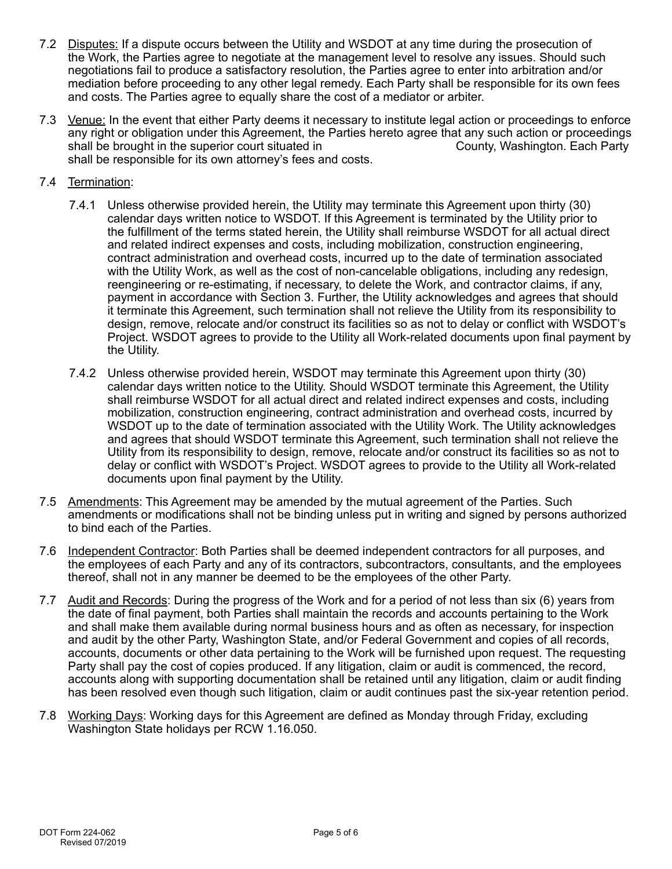- 7.2 Disputes: If a dispute occurs between the Utility and WSDOT at any time during the prosecution of the Work, the Parties agree to negotiate at the management level to resolve any issues. Should such negotiations fail to produce a satisfactory resolution, the Parties agree to enter into arbitration and/or mediation before proceeding to any other legal remedy. Each Party shall be responsible for its own fees and costs. The Parties agree to equally share the cost of a mediator or arbiter.
- 7.3 Venue: In the event that either Party deems it necessary to institute legal action or proceedings to enforce any right or obligation under this Agreement, the Parties hereto agree that any such action or proceedings shall be brought in the superior court situated in shall be brought in the superior court situated in shall be responsible for its own attorney's fees and costs.
- 7.4 Termination:
	- 7.4.1 Unless otherwise provided herein, the Utility may terminate this Agreement upon thirty (30) calendar days written notice to WSDOT. If this Agreement is terminated by the Utility prior to the fulfillment of the terms stated herein, the Utility shall reimburse WSDOT for all actual direct and related indirect expenses and costs, including mobilization, construction engineering, contract administration and overhead costs, incurred up to the date of termination associated with the Utility Work, as well as the cost of non-cancelable obligations, including any redesign, reengineering or re-estimating, if necessary, to delete the Work, and contractor claims, if any, payment in accordance with Section 3. Further, the Utility acknowledges and agrees that should it terminate this Agreement, such termination shall not relieve the Utility from its responsibility to design, remove, relocate and/or construct its facilities so as not to delay or conflict with WSDOT's Project. WSDOT agrees to provide to the Utility all Work-related documents upon final payment by the Utility.
	- 7.4.2 Unless otherwise provided herein, WSDOT may terminate this Agreement upon thirty (30) calendar days written notice to the Utility. Should WSDOT terminate this Agreement, the Utility shall reimburse WSDOT for all actual direct and related indirect expenses and costs, including mobilization, construction engineering, contract administration and overhead costs, incurred by WSDOT up to the date of termination associated with the Utility Work. The Utility acknowledges and agrees that should WSDOT terminate this Agreement, such termination shall not relieve the Utility from its responsibility to design, remove, relocate and/or construct its facilities so as not to delay or conflict with WSDOT's Project. WSDOT agrees to provide to the Utility all Work-related documents upon final payment by the Utility.
- 7.5 Amendments: This Agreement may be amended by the mutual agreement of the Parties. Such amendments or modifications shall not be binding unless put in writing and signed by persons authorized to bind each of the Parties.
- 7.6 Independent Contractor: Both Parties shall be deemed independent contractors for all purposes, and the employees of each Party and any of its contractors, subcontractors, consultants, and the employees thereof, shall not in any manner be deemed to be the employees of the other Party.
- 7.7 Audit and Records: During the progress of the Work and for a period of not less than six (6) years from the date of final payment, both Parties shall maintain the records and accounts pertaining to the Work and shall make them available during normal business hours and as often as necessary, for inspection and audit by the other Party, Washington State, and/or Federal Government and copies of all records, accounts, documents or other data pertaining to the Work will be furnished upon request. The requesting Party shall pay the cost of copies produced. If any litigation, claim or audit is commenced, the record, accounts along with supporting documentation shall be retained until any litigation, claim or audit finding has been resolved even though such litigation, claim or audit continues past the six-year retention period.
- 7.8 Working Days: Working days for this Agreement are defined as Monday through Friday, excluding Washington State holidays per RCW 1.16.050.